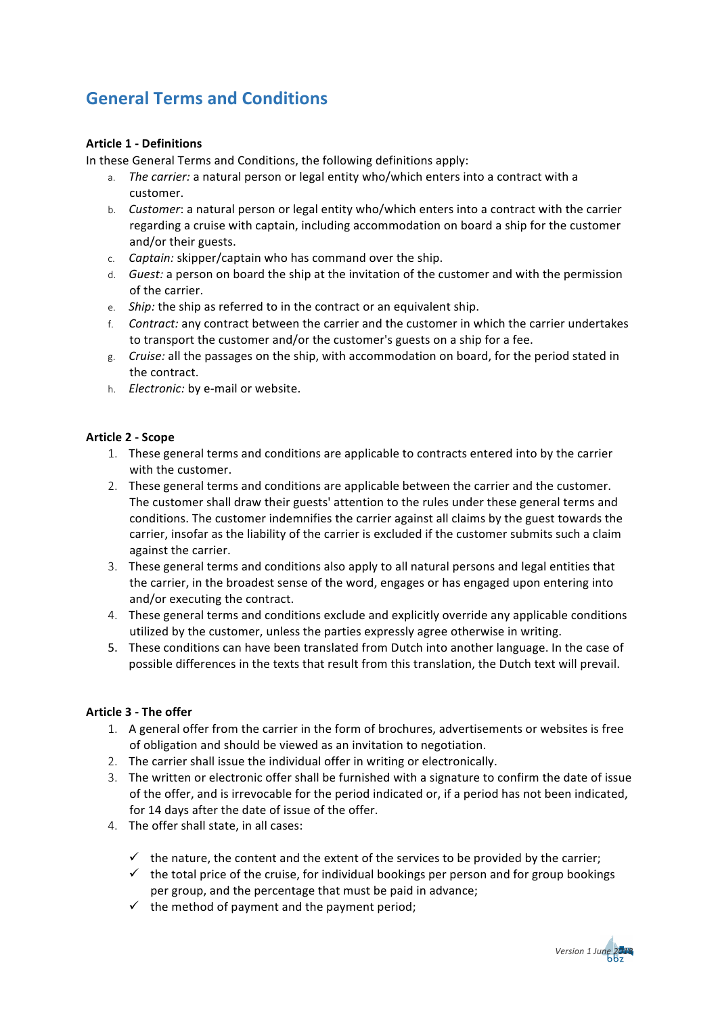# **General Terms and Conditions**

# **Article 1 - Definitions**

In these General Terms and Conditions, the following definitions apply:

- a. *The carrier:* a natural person or legal entity who/which enters into a contract with a customer.
- b. *Customer*: a natural person or legal entity who/which enters into a contract with the carrier regarding a cruise with captain, including accommodation on board a ship for the customer and/or their guests.
- c. *Captain:* skipper/captain who has command over the ship.
- d. *Guest:* a person on board the ship at the invitation of the customer and with the permission of the carrier.
- e. *Ship:* the ship as referred to in the contract or an equivalent ship.
- f. *Contract:* any contract between the carrier and the customer in which the carrier undertakes to transport the customer and/or the customer's guests on a ship for a fee.
- g. *Cruise:* all the passages on the ship, with accommodation on board, for the period stated in the contract.
- h. *Electronic:* by e-mail or website.

## **Article 2 - Scope**

- 1. These general terms and conditions are applicable to contracts entered into by the carrier with the customer.
- 2. These general terms and conditions are applicable between the carrier and the customer. The customer shall draw their guests' attention to the rules under these general terms and conditions. The customer indemnifies the carrier against all claims by the guest towards the carrier, insofar as the liability of the carrier is excluded if the customer submits such a claim against the carrier.
- 3. These general terms and conditions also apply to all natural persons and legal entities that the carrier, in the broadest sense of the word, engages or has engaged upon entering into and/or executing the contract.
- 4. These general terms and conditions exclude and explicitly override any applicable conditions utilized by the customer, unless the parties expressly agree otherwise in writing.
- 5. These conditions can have been translated from Dutch into another language. In the case of possible differences in the texts that result from this translation, the Dutch text will prevail.

#### **Article 3 - The offer**

- 1. A general offer from the carrier in the form of brochures, advertisements or websites is free of obligation and should be viewed as an invitation to negotiation.
- 2. The carrier shall issue the individual offer in writing or electronically.
- 3. The written or electronic offer shall be furnished with a signature to confirm the date of issue of the offer, and is irrevocable for the period indicated or, if a period has not been indicated, for 14 days after the date of issue of the offer.
- 4. The offer shall state, in all cases:
	- $\checkmark$  the nature, the content and the extent of the services to be provided by the carrier;
	- $\checkmark$  the total price of the cruise, for individual bookings per person and for group bookings per group, and the percentage that must be paid in advance;
	- $\checkmark$  the method of payment and the payment period;

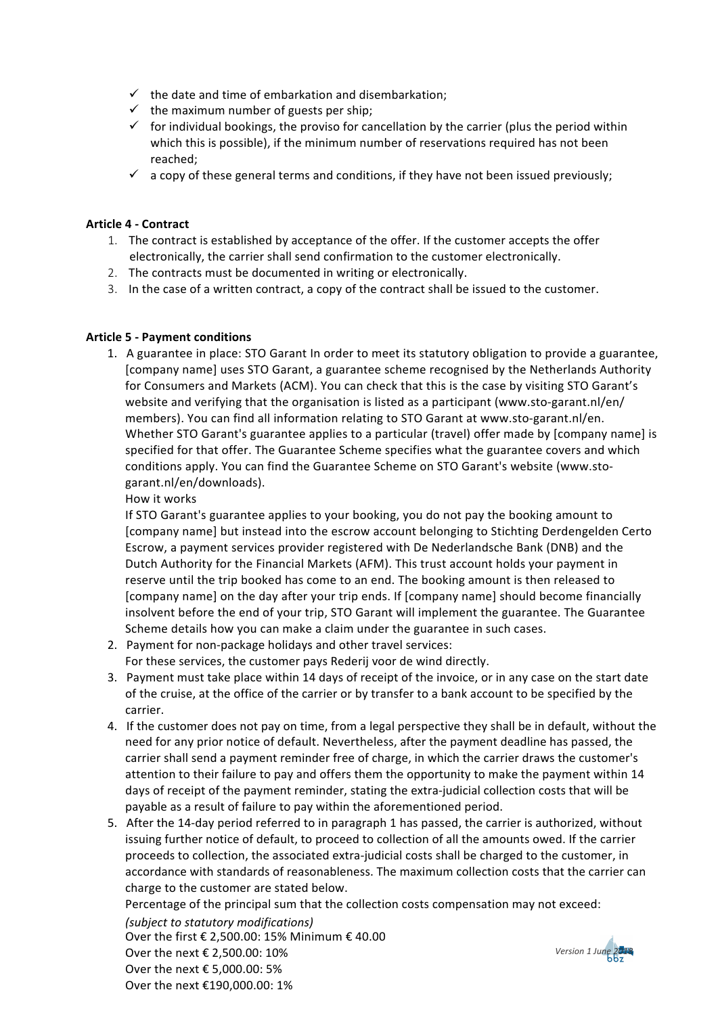- $\checkmark$  the date and time of embarkation and disembarkation;
- $\checkmark$  the maximum number of guests per ship;
- $\checkmark$  for individual bookings, the proviso for cancellation by the carrier (plus the period within which this is possible), if the minimum number of reservations required has not been reached;
- $\checkmark$  a copy of these general terms and conditions, if they have not been issued previously;

#### **Article 4 - Contract**

- 1. The contract is established by acceptance of the offer. If the customer accepts the offer electronically, the carrier shall send confirmation to the customer electronically.
- 2. The contracts must be documented in writing or electronically.
- 3. In the case of a written contract, a copy of the contract shall be issued to the customer.

## **Article 5 - Payment conditions**

1. A guarantee in place: STO Garant In order to meet its statutory obligation to provide a guarantee, [company name] uses STO Garant, a guarantee scheme recognised by the Netherlands Authority for Consumers and Markets (ACM). You can check that this is the case by visiting STO Garant's website and verifying that the organisation is listed as a participant (www.sto-garant.nl/en/ members). You can find all information relating to STO Garant at www.sto-garant.nl/en. Whether STO Garant's guarantee applies to a particular (travel) offer made by [company name] is specified for that offer. The Guarantee Scheme specifies what the guarantee covers and which conditions apply. You can find the Guarantee Scheme on STO Garant's website (www.stogarant.nl/en/downloads).

How it works

If STO Garant's guarantee applies to your booking, you do not pay the booking amount to [company name] but instead into the escrow account belonging to Stichting Derdengelden Certo Escrow, a payment services provider registered with De Nederlandsche Bank (DNB) and the Dutch Authority for the Financial Markets (AFM). This trust account holds your payment in reserve until the trip booked has come to an end. The booking amount is then released to [company name] on the day after your trip ends. If [company name] should become financially insolvent before the end of your trip, STO Garant will implement the guarantee. The Guarantee Scheme details how you can make a claim under the guarantee in such cases.

- 2. Payment for non-package holidays and other travel services: For these services, the customer pays Rederij voor de wind directly.
- 3. Payment must take place within 14 days of receipt of the invoice, or in any case on the start date of the cruise, at the office of the carrier or by transfer to a bank account to be specified by the carrier.
- 4. If the customer does not pay on time, from a legal perspective they shall be in default, without the need for any prior notice of default. Nevertheless, after the payment deadline has passed, the carrier shall send a payment reminder free of charge, in which the carrier draws the customer's attention to their failure to pay and offers them the opportunity to make the payment within 14 days of receipt of the payment reminder, stating the extra-judicial collection costs that will be payable as a result of failure to pay within the aforementioned period.
- 5. After the 14-day period referred to in paragraph 1 has passed, the carrier is authorized, without issuing further notice of default, to proceed to collection of all the amounts owed. If the carrier proceeds to collection, the associated extra-judicial costs shall be charged to the customer, in accordance with standards of reasonableness. The maximum collection costs that the carrier can charge to the customer are stated below.

Percentage of the principal sum that the collection costs compensation may not exceed:

*(subject to statutory modifications)* Over the first € 2,500.00: 15% Minimum € 40.00 Over the next € 2,500.00: 10% Over the next € 5,000.00: 5% Over the next €190,000.00: 1%

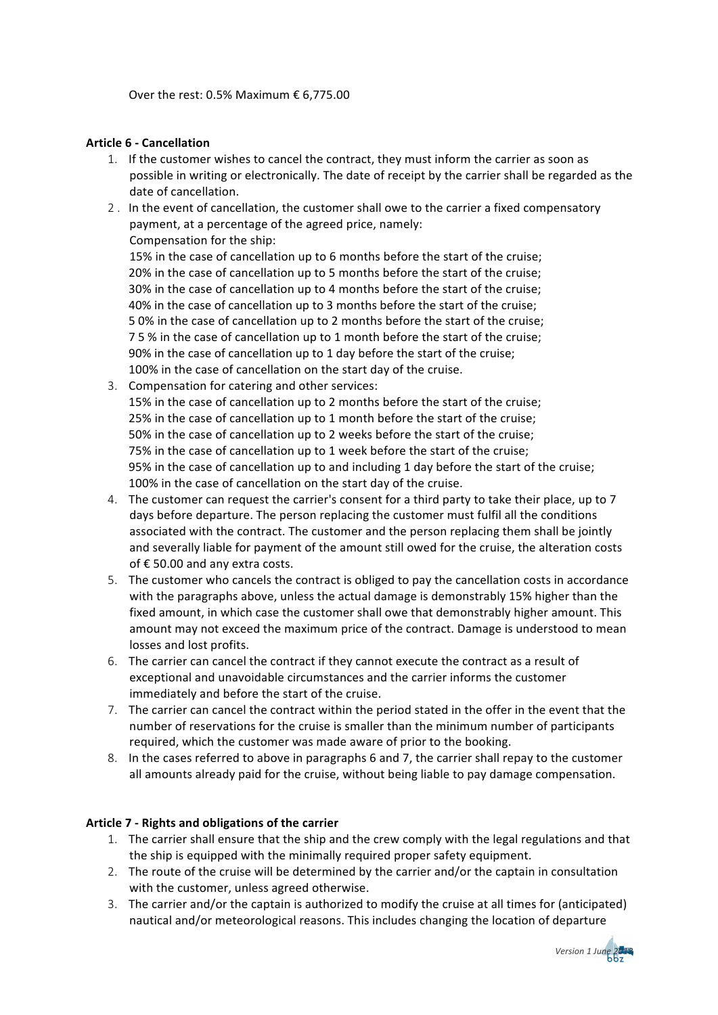#### **Article 6 - Cancellation**

- 1. If the customer wishes to cancel the contract, they must inform the carrier as soon as possible in writing or electronically. The date of receipt by the carrier shall be regarded as the date of cancellation.
- 2 . In the event of cancellation, the customer shall owe to the carrier a fixed compensatory payment, at a percentage of the agreed price, namely: Compensation for the ship:

15% in the case of cancellation up to 6 months before the start of the cruise; 20% in the case of cancellation up to 5 months before the start of the cruise; 30% in the case of cancellation up to 4 months before the start of the cruise; 40% in the case of cancellation up to 3 months before the start of the cruise; 5 0% in the case of cancellation up to 2 months before the start of the cruise; 7 5 % in the case of cancellation up to 1 month before the start of the cruise; 90% in the case of cancellation up to 1 day before the start of the cruise; 100% in the case of cancellation on the start day of the cruise.

- 3. Compensation for catering and other services: 15% in the case of cancellation up to 2 months before the start of the cruise; 25% in the case of cancellation up to 1 month before the start of the cruise; 50% in the case of cancellation up to 2 weeks before the start of the cruise; 75% in the case of cancellation up to 1 week before the start of the cruise; 95% in the case of cancellation up to and including 1 day before the start of the cruise; 100% in the case of cancellation on the start day of the cruise.
- 4. The customer can request the carrier's consent for a third party to take their place, up to 7 days before departure. The person replacing the customer must fulfil all the conditions associated with the contract. The customer and the person replacing them shall be jointly and severally liable for payment of the amount still owed for the cruise, the alteration costs of  $\epsilon$  50.00 and any extra costs.
- 5. The customer who cancels the contract is obliged to pay the cancellation costs in accordance with the paragraphs above, unless the actual damage is demonstrably 15% higher than the fixed amount, in which case the customer shall owe that demonstrably higher amount. This amount may not exceed the maximum price of the contract. Damage is understood to mean losses and lost profits.
- 6. The carrier can cancel the contract if they cannot execute the contract as a result of exceptional and unavoidable circumstances and the carrier informs the customer immediately and before the start of the cruise.
- 7. The carrier can cancel the contract within the period stated in the offer in the event that the number of reservations for the cruise is smaller than the minimum number of participants required, which the customer was made aware of prior to the booking.
- 8. In the cases referred to above in paragraphs 6 and 7, the carrier shall repay to the customer all amounts already paid for the cruise, without being liable to pay damage compensation.

#### **Article 7 - Rights and obligations of the carrier**

- 1. The carrier shall ensure that the ship and the crew comply with the legal regulations and that the ship is equipped with the minimally required proper safety equipment.
- 2. The route of the cruise will be determined by the carrier and/or the captain in consultation with the customer, unless agreed otherwise.
- 3. The carrier and/or the captain is authorized to modify the cruise at all times for (anticipated) nautical and/or meteorological reasons. This includes changing the location of departure

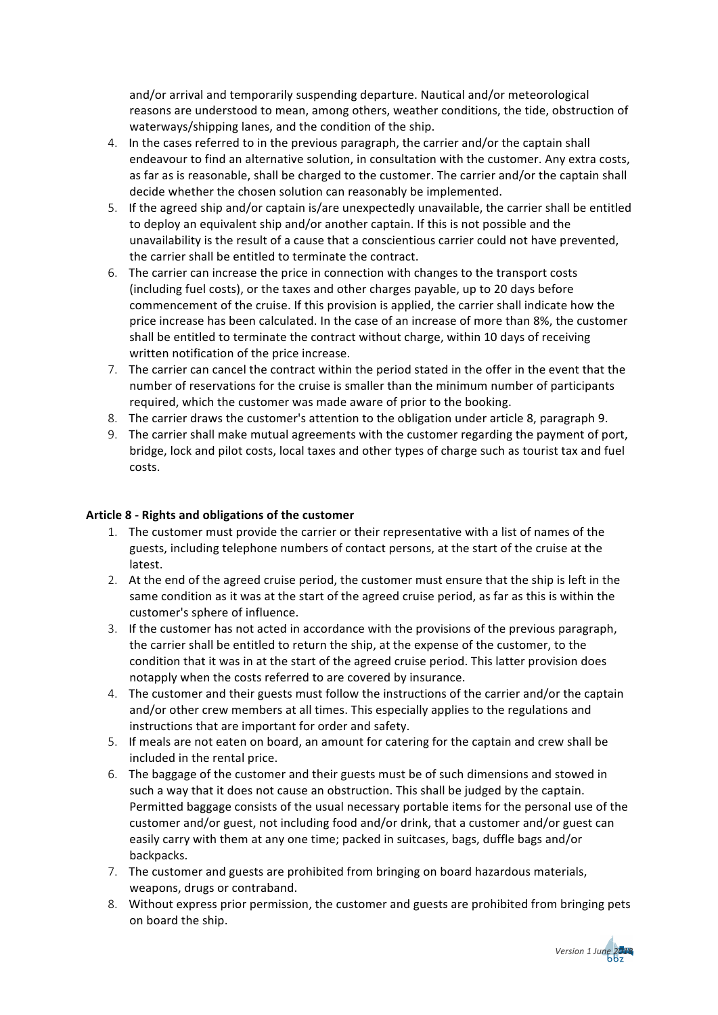and/or arrival and temporarily suspending departure. Nautical and/or meteorological reasons are understood to mean, among others, weather conditions, the tide, obstruction of waterways/shipping lanes, and the condition of the ship.

- 4. In the cases referred to in the previous paragraph, the carrier and/or the captain shall endeavour to find an alternative solution, in consultation with the customer. Any extra costs, as far as is reasonable, shall be charged to the customer. The carrier and/or the captain shall decide whether the chosen solution can reasonably be implemented.
- 5. If the agreed ship and/or captain is/are unexpectedly unavailable, the carrier shall be entitled to deploy an equivalent ship and/or another captain. If this is not possible and the unavailability is the result of a cause that a conscientious carrier could not have prevented, the carrier shall be entitled to terminate the contract.
- 6. The carrier can increase the price in connection with changes to the transport costs (including fuel costs), or the taxes and other charges payable, up to 20 days before commencement of the cruise. If this provision is applied, the carrier shall indicate how the price increase has been calculated. In the case of an increase of more than 8%, the customer shall be entitled to terminate the contract without charge, within 10 days of receiving written notification of the price increase.
- 7. The carrier can cancel the contract within the period stated in the offer in the event that the number of reservations for the cruise is smaller than the minimum number of participants required, which the customer was made aware of prior to the booking.
- 8. The carrier draws the customer's attention to the obligation under article 8, paragraph 9.
- 9. The carrier shall make mutual agreements with the customer regarding the payment of port, bridge, lock and pilot costs, local taxes and other types of charge such as tourist tax and fuel costs.

#### **Article 8 - Rights and obligations of the customer**

- 1. The customer must provide the carrier or their representative with a list of names of the guests, including telephone numbers of contact persons, at the start of the cruise at the latest.
- 2. At the end of the agreed cruise period, the customer must ensure that the ship is left in the same condition as it was at the start of the agreed cruise period, as far as this is within the customer's sphere of influence.
- 3. If the customer has not acted in accordance with the provisions of the previous paragraph, the carrier shall be entitled to return the ship, at the expense of the customer, to the condition that it was in at the start of the agreed cruise period. This latter provision does notapply when the costs referred to are covered by insurance.
- 4. The customer and their guests must follow the instructions of the carrier and/or the captain and/or other crew members at all times. This especially applies to the regulations and instructions that are important for order and safety.
- 5. If meals are not eaten on board, an amount for catering for the captain and crew shall be included in the rental price.
- 6. The baggage of the customer and their guests must be of such dimensions and stowed in such a way that it does not cause an obstruction. This shall be judged by the captain. Permitted baggage consists of the usual necessary portable items for the personal use of the customer and/or guest, not including food and/or drink, that a customer and/or guest can easily carry with them at any one time; packed in suitcases, bags, duffle bags and/or backpacks.
- 7. The customer and guests are prohibited from bringing on board hazardous materials, weapons, drugs or contraband.
- 8. Without express prior permission, the customer and guests are prohibited from bringing pets on board the ship.

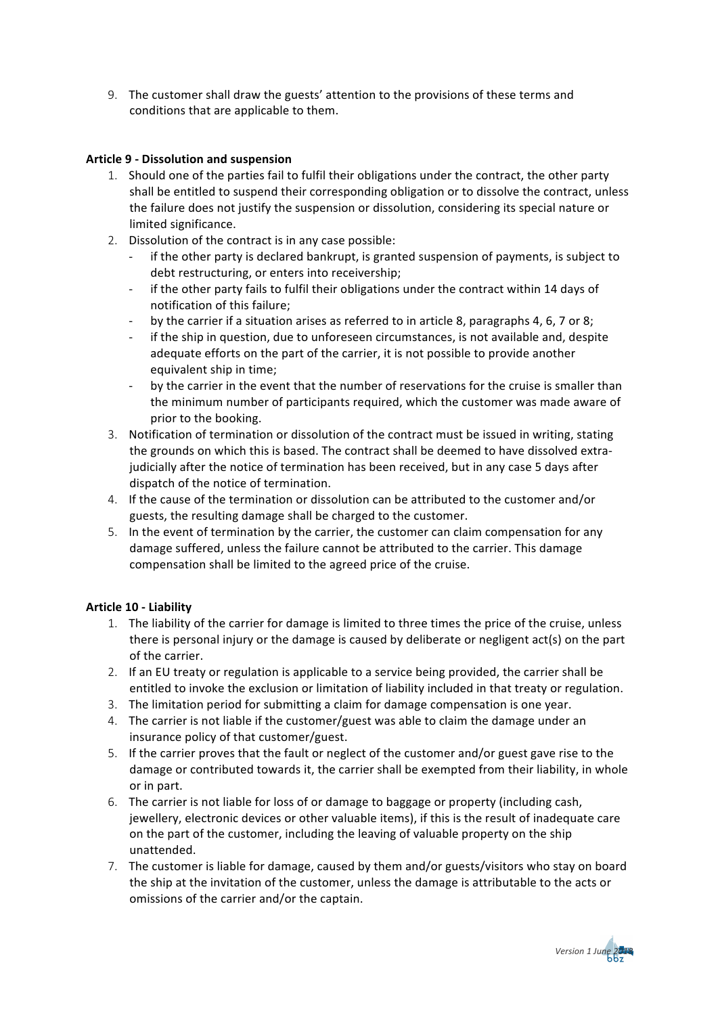9. The customer shall draw the guests' attention to the provisions of these terms and conditions that are applicable to them.

## **Article 9 - Dissolution and suspension**

- 1. Should one of the parties fail to fulfil their obligations under the contract, the other party shall be entitled to suspend their corresponding obligation or to dissolve the contract, unless the failure does not justify the suspension or dissolution, considering its special nature or limited significance.
- 2. Dissolution of the contract is in any case possible:
	- if the other party is declared bankrupt, is granted suspension of payments, is subject to debt restructuring, or enters into receivership;
	- if the other party fails to fulfil their obligations under the contract within 14 days of notification of this failure;
	- by the carrier if a situation arises as referred to in article 8, paragraphs 4, 6, 7 or 8;
	- if the ship in question, due to unforeseen circumstances, is not available and, despite adequate efforts on the part of the carrier, it is not possible to provide another equivalent ship in time;
	- by the carrier in the event that the number of reservations for the cruise is smaller than the minimum number of participants required, which the customer was made aware of prior to the booking.
- 3. Notification of termination or dissolution of the contract must be issued in writing, stating the grounds on which this is based. The contract shall be deemed to have dissolved extrajudicially after the notice of termination has been received, but in any case 5 days after dispatch of the notice of termination.
- 4. If the cause of the termination or dissolution can be attributed to the customer and/or guests, the resulting damage shall be charged to the customer.
- 5. In the event of termination by the carrier, the customer can claim compensation for any damage suffered, unless the failure cannot be attributed to the carrier. This damage compensation shall be limited to the agreed price of the cruise.

# **Article 10 - Liability**

- 1. The liability of the carrier for damage is limited to three times the price of the cruise, unless there is personal injury or the damage is caused by deliberate or negligent act(s) on the part of the carrier.
- 2. If an EU treaty or regulation is applicable to a service being provided, the carrier shall be entitled to invoke the exclusion or limitation of liability included in that treaty or regulation.
- 3. The limitation period for submitting a claim for damage compensation is one year.
- 4. The carrier is not liable if the customer/guest was able to claim the damage under an insurance policy of that customer/guest.
- 5. If the carrier proves that the fault or neglect of the customer and/or guest gave rise to the damage or contributed towards it, the carrier shall be exempted from their liability, in whole or in part.
- 6. The carrier is not liable for loss of or damage to baggage or property (including cash, jewellery, electronic devices or other valuable items), if this is the result of inadequate care on the part of the customer, including the leaving of valuable property on the ship unattended.
- 7. The customer is liable for damage, caused by them and/or guests/visitors who stay on board the ship at the invitation of the customer, unless the damage is attributable to the acts or omissions of the carrier and/or the captain.